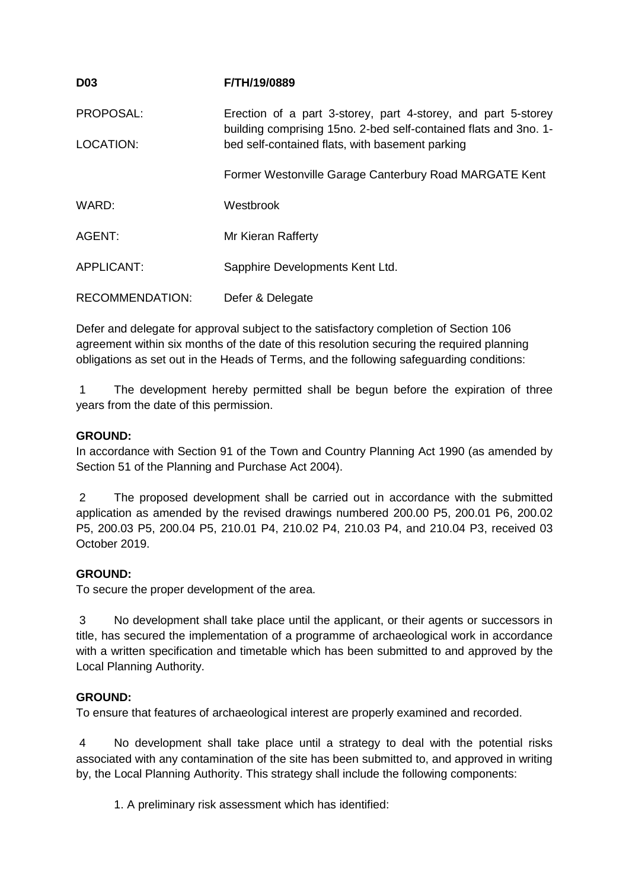| <b>D03</b>        | <b>F/TH/19/0889</b>                                                                                                                 |
|-------------------|-------------------------------------------------------------------------------------------------------------------------------------|
| PROPOSAL:         | Erection of a part 3-storey, part 4-storey, and part 5-storey<br>building comprising 15 no. 2-bed self-contained flats and 3 no. 1- |
| LOCATION:         | bed self-contained flats, with basement parking                                                                                     |
|                   | Former Westonville Garage Canterbury Road MARGATE Kent                                                                              |
| WARD:             | Westbrook                                                                                                                           |
| AGENT:            | Mr Kieran Rafferty                                                                                                                  |
| <b>APPLICANT:</b> | Sapphire Developments Kent Ltd.                                                                                                     |
| RECOMMENDATION:   | Defer & Delegate                                                                                                                    |

Defer and delegate for approval subject to the satisfactory completion of Section 106 agreement within six months of the date of this resolution securing the required planning obligations as set out in the Heads of Terms, and the following safeguarding conditions:

1 The development hereby permitted shall be begun before the expiration of three years from the date of this permission.

# **GROUND:**

In accordance with Section 91 of the Town and Country Planning Act 1990 (as amended by Section 51 of the Planning and Purchase Act 2004).

2 The proposed development shall be carried out in accordance with the submitted application as amended by the revised drawings numbered 200.00 P5, 200.01 P6, 200.02 P5, 200.03 P5, 200.04 P5, 210.01 P4, 210.02 P4, 210.03 P4, and 210.04 P3, received 03 October 2019.

# **GROUND:**

To secure the proper development of the area.

3 No development shall take place until the applicant, or their agents or successors in title, has secured the implementation of a programme of archaeological work in accordance with a written specification and timetable which has been submitted to and approved by the Local Planning Authority.

# **GROUND:**

To ensure that features of archaeological interest are properly examined and recorded.

4 No development shall take place until a strategy to deal with the potential risks associated with any contamination of the site has been submitted to, and approved in writing by, the Local Planning Authority. This strategy shall include the following components:

1. A preliminary risk assessment which has identified: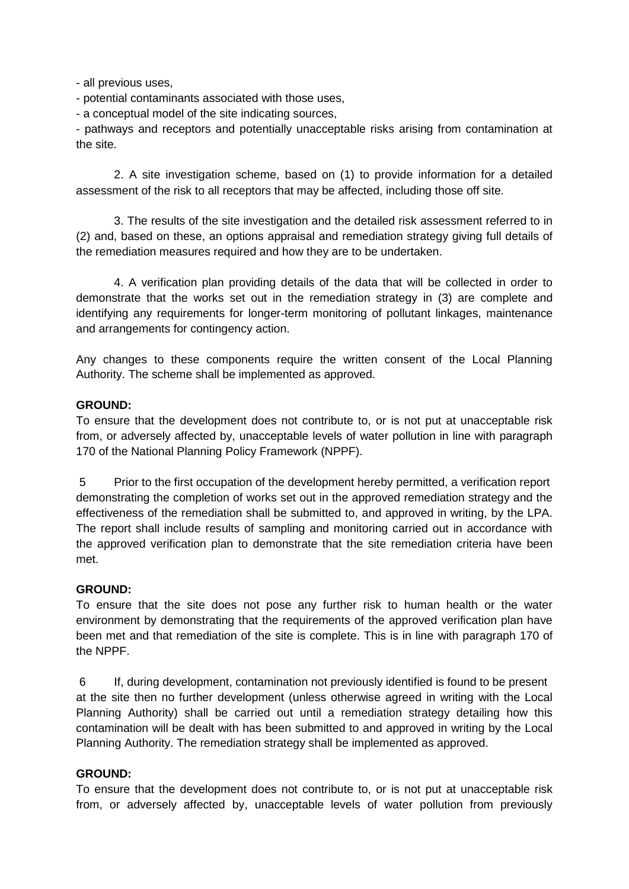- all previous uses,

- potential contaminants associated with those uses,

- a conceptual model of the site indicating sources,

- pathways and receptors and potentially unacceptable risks arising from contamination at the site.

2. A site investigation scheme, based on (1) to provide information for a detailed assessment of the risk to all receptors that may be affected, including those off site.

3. The results of the site investigation and the detailed risk assessment referred to in (2) and, based on these, an options appraisal and remediation strategy giving full details of the remediation measures required and how they are to be undertaken.

4. A verification plan providing details of the data that will be collected in order to demonstrate that the works set out in the remediation strategy in (3) are complete and identifying any requirements for longer-term monitoring of pollutant linkages, maintenance and arrangements for contingency action.

Any changes to these components require the written consent of the Local Planning Authority. The scheme shall be implemented as approved.

# **GROUND:**

To ensure that the development does not contribute to, or is not put at unacceptable risk from, or adversely affected by, unacceptable levels of water pollution in line with paragraph 170 of the National Planning Policy Framework (NPPF).

5 Prior to the first occupation of the development hereby permitted, a verification report demonstrating the completion of works set out in the approved remediation strategy and the effectiveness of the remediation shall be submitted to, and approved in writing, by the LPA. The report shall include results of sampling and monitoring carried out in accordance with the approved verification plan to demonstrate that the site remediation criteria have been met.

# **GROUND:**

To ensure that the site does not pose any further risk to human health or the water environment by demonstrating that the requirements of the approved verification plan have been met and that remediation of the site is complete. This is in line with paragraph 170 of the NPPF.

6 If, during development, contamination not previously identified is found to be present at the site then no further development (unless otherwise agreed in writing with the Local Planning Authority) shall be carried out until a remediation strategy detailing how this contamination will be dealt with has been submitted to and approved in writing by the Local Planning Authority. The remediation strategy shall be implemented as approved.

# **GROUND:**

To ensure that the development does not contribute to, or is not put at unacceptable risk from, or adversely affected by, unacceptable levels of water pollution from previously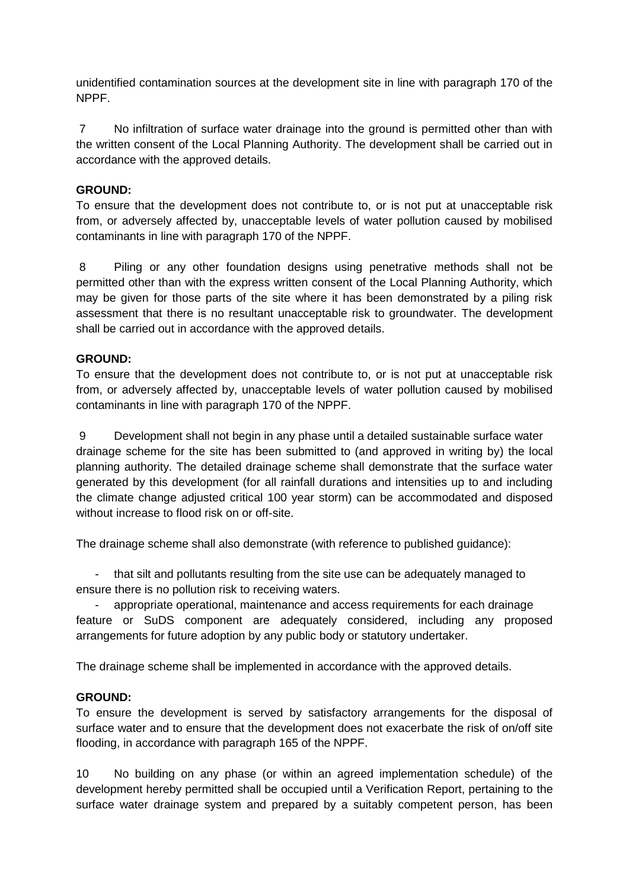unidentified contamination sources at the development site in line with paragraph 170 of the NPPF.

7 No infiltration of surface water drainage into the ground is permitted other than with the written consent of the Local Planning Authority. The development shall be carried out in accordance with the approved details.

# **GROUND:**

To ensure that the development does not contribute to, or is not put at unacceptable risk from, or adversely affected by, unacceptable levels of water pollution caused by mobilised contaminants in line with paragraph 170 of the NPPF.

8 Piling or any other foundation designs using penetrative methods shall not be permitted other than with the express written consent of the Local Planning Authority, which may be given for those parts of the site where it has been demonstrated by a piling risk assessment that there is no resultant unacceptable risk to groundwater. The development shall be carried out in accordance with the approved details.

# **GROUND:**

To ensure that the development does not contribute to, or is not put at unacceptable risk from, or adversely affected by, unacceptable levels of water pollution caused by mobilised contaminants in line with paragraph 170 of the NPPF.

9 Development shall not begin in any phase until a detailed sustainable surface water drainage scheme for the site has been submitted to (and approved in writing by) the local planning authority. The detailed drainage scheme shall demonstrate that the surface water generated by this development (for all rainfall durations and intensities up to and including the climate change adjusted critical 100 year storm) can be accommodated and disposed without increase to flood risk on or off-site.

The drainage scheme shall also demonstrate (with reference to published guidance):

- that silt and pollutants resulting from the site use can be adequately managed to ensure there is no pollution risk to receiving waters.

- appropriate operational, maintenance and access requirements for each drainage feature or SuDS component are adequately considered, including any proposed arrangements for future adoption by any public body or statutory undertaker.

The drainage scheme shall be implemented in accordance with the approved details.

# **GROUND:**

To ensure the development is served by satisfactory arrangements for the disposal of surface water and to ensure that the development does not exacerbate the risk of on/off site flooding, in accordance with paragraph 165 of the NPPF.

10 No building on any phase (or within an agreed implementation schedule) of the development hereby permitted shall be occupied until a Verification Report, pertaining to the surface water drainage system and prepared by a suitably competent person, has been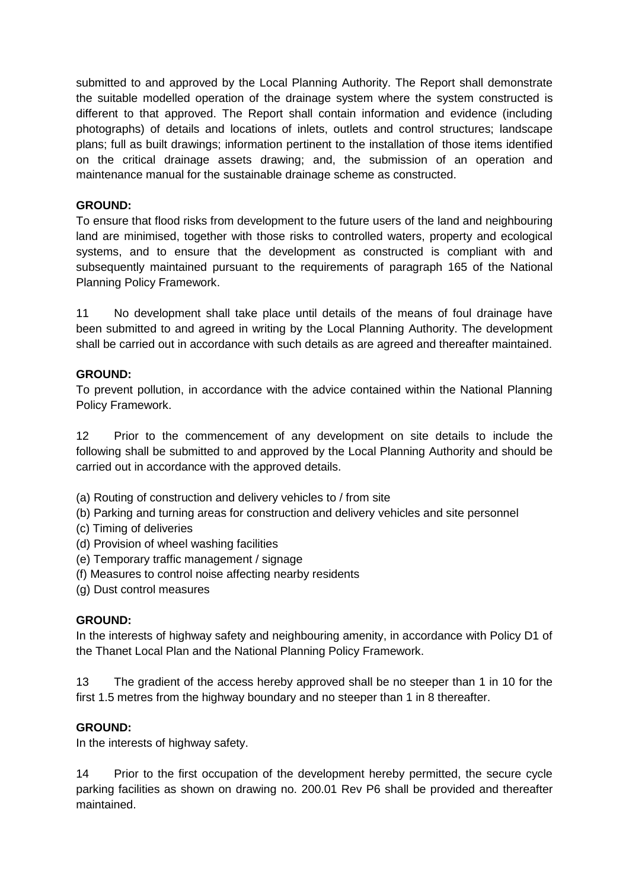submitted to and approved by the Local Planning Authority. The Report shall demonstrate the suitable modelled operation of the drainage system where the system constructed is different to that approved. The Report shall contain information and evidence (including photographs) of details and locations of inlets, outlets and control structures; landscape plans; full as built drawings; information pertinent to the installation of those items identified on the critical drainage assets drawing; and, the submission of an operation and maintenance manual for the sustainable drainage scheme as constructed.

# **GROUND:**

To ensure that flood risks from development to the future users of the land and neighbouring land are minimised, together with those risks to controlled waters, property and ecological systems, and to ensure that the development as constructed is compliant with and subsequently maintained pursuant to the requirements of paragraph 165 of the National Planning Policy Framework.

11 No development shall take place until details of the means of foul drainage have been submitted to and agreed in writing by the Local Planning Authority. The development shall be carried out in accordance with such details as are agreed and thereafter maintained.

# **GROUND:**

To prevent pollution, in accordance with the advice contained within the National Planning Policy Framework.

12 Prior to the commencement of any development on site details to include the following shall be submitted to and approved by the Local Planning Authority and should be carried out in accordance with the approved details.

- (a) Routing of construction and delivery vehicles to / from site
- (b) Parking and turning areas for construction and delivery vehicles and site personnel
- (c) Timing of deliveries
- (d) Provision of wheel washing facilities
- (e) Temporary traffic management / signage
- (f) Measures to control noise affecting nearby residents
- (g) Dust control measures

# **GROUND:**

In the interests of highway safety and neighbouring amenity, in accordance with Policy D1 of the Thanet Local Plan and the National Planning Policy Framework.

13 The gradient of the access hereby approved shall be no steeper than 1 in 10 for the first 1.5 metres from the highway boundary and no steeper than 1 in 8 thereafter.

# **GROUND:**

In the interests of highway safety.

14 Prior to the first occupation of the development hereby permitted, the secure cycle parking facilities as shown on drawing no. 200.01 Rev P6 shall be provided and thereafter maintained.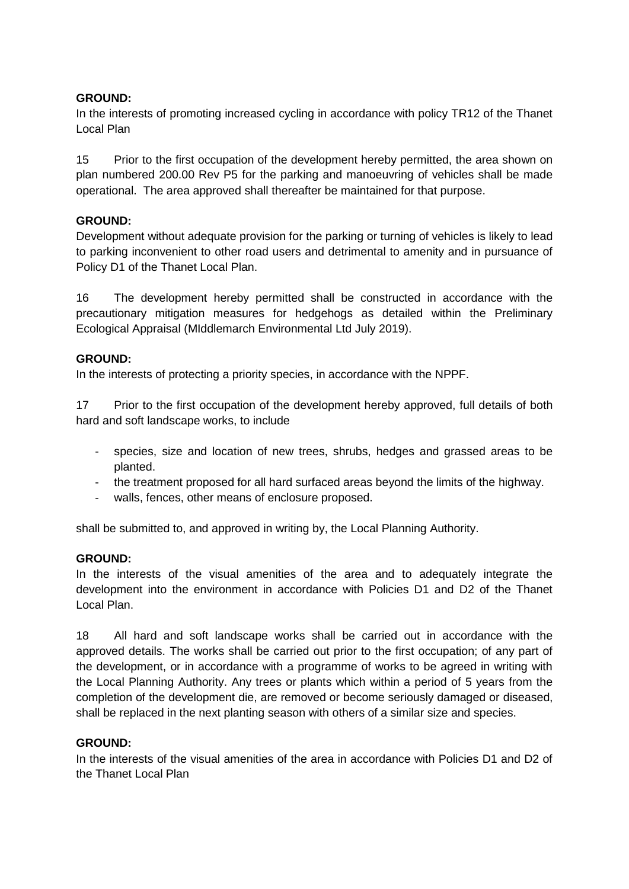# **GROUND:**

In the interests of promoting increased cycling in accordance with policy TR12 of the Thanet Local Plan

15 Prior to the first occupation of the development hereby permitted, the area shown on plan numbered 200.00 Rev P5 for the parking and manoeuvring of vehicles shall be made operational. The area approved shall thereafter be maintained for that purpose.

# **GROUND:**

Development without adequate provision for the parking or turning of vehicles is likely to lead to parking inconvenient to other road users and detrimental to amenity and in pursuance of Policy D1 of the Thanet Local Plan.

16 The development hereby permitted shall be constructed in accordance with the precautionary mitigation measures for hedgehogs as detailed within the Preliminary Ecological Appraisal (MIddlemarch Environmental Ltd July 2019).

# **GROUND:**

In the interests of protecting a priority species, in accordance with the NPPF.

17 Prior to the first occupation of the development hereby approved, full details of both hard and soft landscape works, to include

- species, size and location of new trees, shrubs, hedges and grassed areas to be planted.
- the treatment proposed for all hard surfaced areas beyond the limits of the highway.
- walls, fences, other means of enclosure proposed.

shall be submitted to, and approved in writing by, the Local Planning Authority.

# **GROUND:**

In the interests of the visual amenities of the area and to adequately integrate the development into the environment in accordance with Policies D1 and D2 of the Thanet Local Plan.

18 All hard and soft landscape works shall be carried out in accordance with the approved details. The works shall be carried out prior to the first occupation; of any part of the development, or in accordance with a programme of works to be agreed in writing with the Local Planning Authority. Any trees or plants which within a period of 5 years from the completion of the development die, are removed or become seriously damaged or diseased, shall be replaced in the next planting season with others of a similar size and species.

# **GROUND:**

In the interests of the visual amenities of the area in accordance with Policies D1 and D2 of the Thanet Local Plan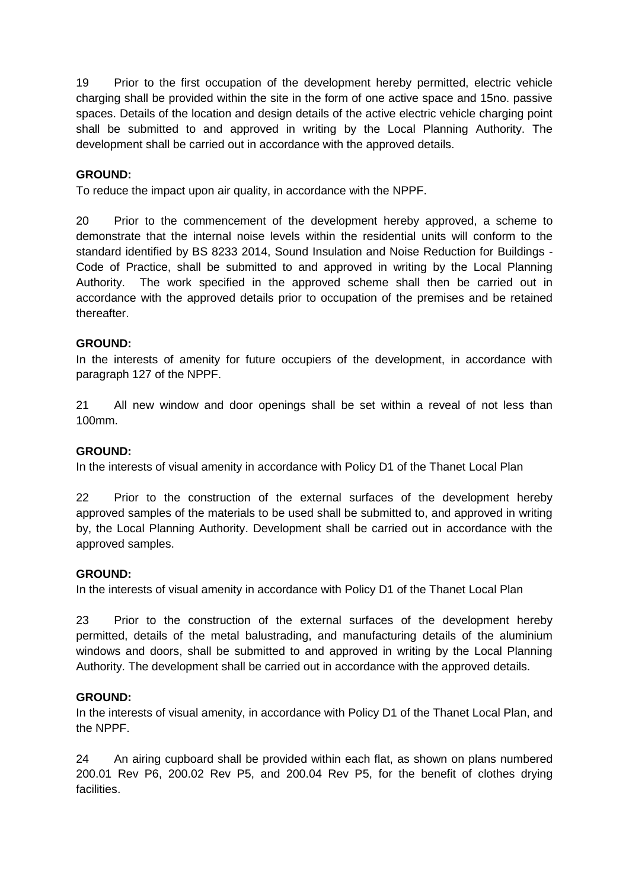19 Prior to the first occupation of the development hereby permitted, electric vehicle charging shall be provided within the site in the form of one active space and 15no. passive spaces. Details of the location and design details of the active electric vehicle charging point shall be submitted to and approved in writing by the Local Planning Authority. The development shall be carried out in accordance with the approved details.

# **GROUND:**

To reduce the impact upon air quality, in accordance with the NPPF.

20 Prior to the commencement of the development hereby approved, a scheme to demonstrate that the internal noise levels within the residential units will conform to the standard identified by BS 8233 2014, Sound Insulation and Noise Reduction for Buildings - Code of Practice, shall be submitted to and approved in writing by the Local Planning Authority. The work specified in the approved scheme shall then be carried out in accordance with the approved details prior to occupation of the premises and be retained thereafter.

# **GROUND:**

In the interests of amenity for future occupiers of the development, in accordance with paragraph 127 of the NPPF.

21 All new window and door openings shall be set within a reveal of not less than 100mm.

### **GROUND:**

In the interests of visual amenity in accordance with Policy D1 of the Thanet Local Plan

22 Prior to the construction of the external surfaces of the development hereby approved samples of the materials to be used shall be submitted to, and approved in writing by, the Local Planning Authority. Development shall be carried out in accordance with the approved samples.

#### **GROUND:**

In the interests of visual amenity in accordance with Policy D1 of the Thanet Local Plan

23 Prior to the construction of the external surfaces of the development hereby permitted, details of the metal balustrading, and manufacturing details of the aluminium windows and doors, shall be submitted to and approved in writing by the Local Planning Authority. The development shall be carried out in accordance with the approved details.

# **GROUND:**

In the interests of visual amenity, in accordance with Policy D1 of the Thanet Local Plan, and the NPPF.

24 An airing cupboard shall be provided within each flat, as shown on plans numbered 200.01 Rev P6, 200.02 Rev P5, and 200.04 Rev P5, for the benefit of clothes drying facilities.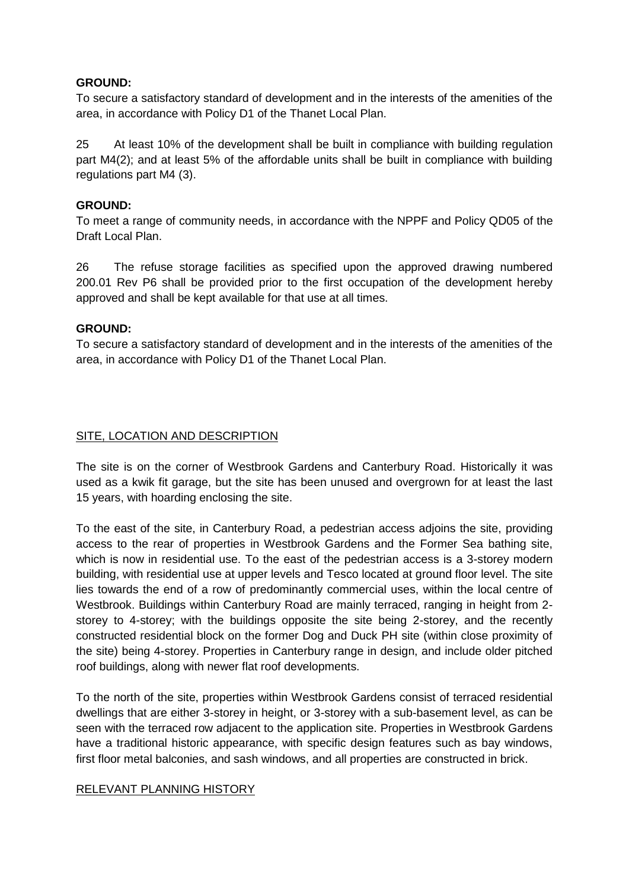# **GROUND:**

To secure a satisfactory standard of development and in the interests of the amenities of the area, in accordance with Policy D1 of the Thanet Local Plan.

25 At least 10% of the development shall be built in compliance with building regulation part M4(2); and at least 5% of the affordable units shall be built in compliance with building regulations part M4 (3).

# **GROUND:**

To meet a range of community needs, in accordance with the NPPF and Policy QD05 of the Draft Local Plan.

26 The refuse storage facilities as specified upon the approved drawing numbered 200.01 Rev P6 shall be provided prior to the first occupation of the development hereby approved and shall be kept available for that use at all times.

# **GROUND:**

To secure a satisfactory standard of development and in the interests of the amenities of the area, in accordance with Policy D1 of the Thanet Local Plan.

# SITE, LOCATION AND DESCRIPTION

The site is on the corner of Westbrook Gardens and Canterbury Road. Historically it was used as a kwik fit garage, but the site has been unused and overgrown for at least the last 15 years, with hoarding enclosing the site.

To the east of the site, in Canterbury Road, a pedestrian access adjoins the site, providing access to the rear of properties in Westbrook Gardens and the Former Sea bathing site, which is now in residential use. To the east of the pedestrian access is a 3-storey modern building, with residential use at upper levels and Tesco located at ground floor level. The site lies towards the end of a row of predominantly commercial uses, within the local centre of Westbrook. Buildings within Canterbury Road are mainly terraced, ranging in height from 2 storey to 4-storey; with the buildings opposite the site being 2-storey, and the recently constructed residential block on the former Dog and Duck PH site (within close proximity of the site) being 4-storey. Properties in Canterbury range in design, and include older pitched roof buildings, along with newer flat roof developments.

To the north of the site, properties within Westbrook Gardens consist of terraced residential dwellings that are either 3-storey in height, or 3-storey with a sub-basement level, as can be seen with the terraced row adjacent to the application site. Properties in Westbrook Gardens have a traditional historic appearance, with specific design features such as bay windows, first floor metal balconies, and sash windows, and all properties are constructed in brick.

# RELEVANT PLANNING HISTORY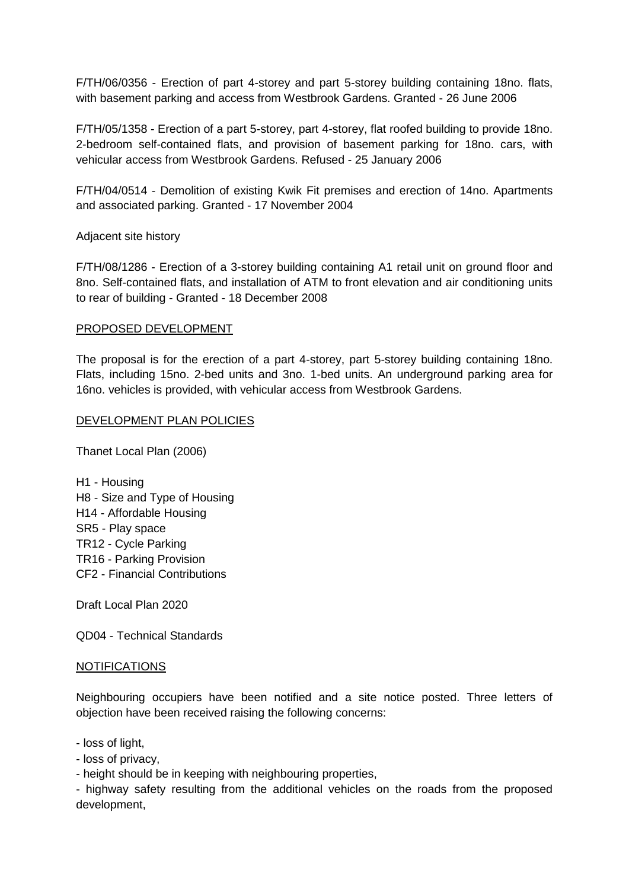F/TH/06/0356 - Erection of part 4-storey and part 5-storey building containing 18no. flats, with basement parking and access from Westbrook Gardens. Granted - 26 June 2006

F/TH/05/1358 - Erection of a part 5-storey, part 4-storey, flat roofed building to provide 18no. 2-bedroom self-contained flats, and provision of basement parking for 18no. cars, with vehicular access from Westbrook Gardens. Refused - 25 January 2006

F/TH/04/0514 - Demolition of existing Kwik Fit premises and erection of 14no. Apartments and associated parking. Granted - 17 November 2004

Adjacent site history

F/TH/08/1286 - Erection of a 3-storey building containing A1 retail unit on ground floor and 8no. Self-contained flats, and installation of ATM to front elevation and air conditioning units to rear of building - Granted - 18 December 2008

#### PROPOSED DEVELOPMENT

The proposal is for the erection of a part 4-storey, part 5-storey building containing 18no. Flats, including 15no. 2-bed units and 3no. 1-bed units. An underground parking area for 16no. vehicles is provided, with vehicular access from Westbrook Gardens.

#### DEVELOPMENT PLAN POLICIES

Thanet Local Plan (2006)

H1 - Housing H8 - Size and Type of Housing H14 - Affordable Housing SR5 - Play space TR12 - Cycle Parking TR16 - Parking Provision CF2 - Financial Contributions

Draft Local Plan 2020

QD04 - Technical Standards

#### NOTIFICATIONS

Neighbouring occupiers have been notified and a site notice posted. Three letters of objection have been received raising the following concerns:

- loss of light,

- loss of privacy,

- height should be in keeping with neighbouring properties,

- highway safety resulting from the additional vehicles on the roads from the proposed development,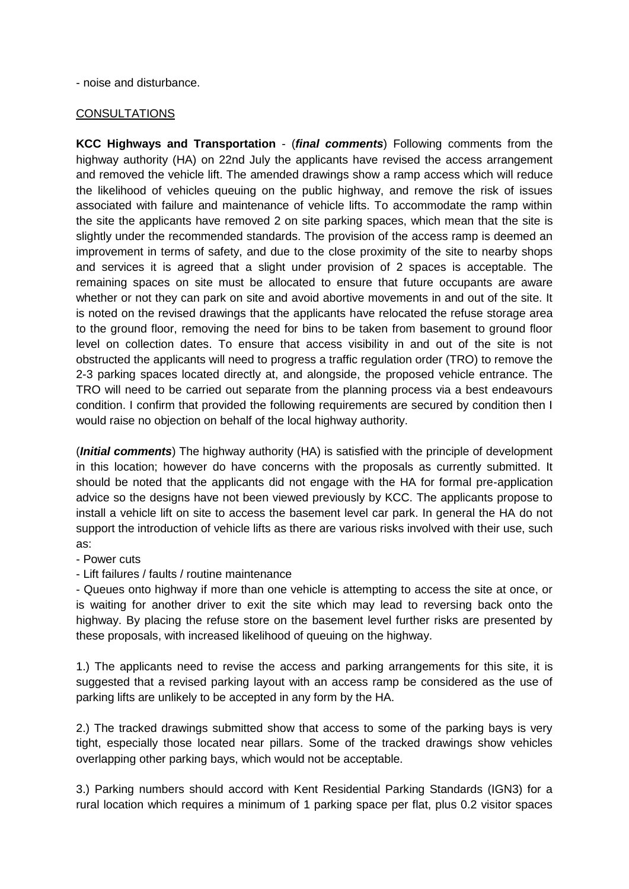#### - noise and disturbance.

### **CONSULTATIONS**

**KCC Highways and Transportation** - (*final comments*) Following comments from the highway authority (HA) on 22nd July the applicants have revised the access arrangement and removed the vehicle lift. The amended drawings show a ramp access which will reduce the likelihood of vehicles queuing on the public highway, and remove the risk of issues associated with failure and maintenance of vehicle lifts. To accommodate the ramp within the site the applicants have removed 2 on site parking spaces, which mean that the site is slightly under the recommended standards. The provision of the access ramp is deemed an improvement in terms of safety, and due to the close proximity of the site to nearby shops and services it is agreed that a slight under provision of 2 spaces is acceptable. The remaining spaces on site must be allocated to ensure that future occupants are aware whether or not they can park on site and avoid abortive movements in and out of the site. It is noted on the revised drawings that the applicants have relocated the refuse storage area to the ground floor, removing the need for bins to be taken from basement to ground floor level on collection dates. To ensure that access visibility in and out of the site is not obstructed the applicants will need to progress a traffic regulation order (TRO) to remove the 2-3 parking spaces located directly at, and alongside, the proposed vehicle entrance. The TRO will need to be carried out separate from the planning process via a best endeavours condition. I confirm that provided the following requirements are secured by condition then I would raise no objection on behalf of the local highway authority.

(*Initial comments*) The highway authority (HA) is satisfied with the principle of development in this location; however do have concerns with the proposals as currently submitted. It should be noted that the applicants did not engage with the HA for formal pre-application advice so the designs have not been viewed previously by KCC. The applicants propose to install a vehicle lift on site to access the basement level car park. In general the HA do not support the introduction of vehicle lifts as there are various risks involved with their use, such as:

- Power cuts

- Lift failures / faults / routine maintenance

- Queues onto highway if more than one vehicle is attempting to access the site at once, or is waiting for another driver to exit the site which may lead to reversing back onto the highway. By placing the refuse store on the basement level further risks are presented by these proposals, with increased likelihood of queuing on the highway.

1.) The applicants need to revise the access and parking arrangements for this site, it is suggested that a revised parking layout with an access ramp be considered as the use of parking lifts are unlikely to be accepted in any form by the HA.

2.) The tracked drawings submitted show that access to some of the parking bays is very tight, especially those located near pillars. Some of the tracked drawings show vehicles overlapping other parking bays, which would not be acceptable.

3.) Parking numbers should accord with Kent Residential Parking Standards (IGN3) for a rural location which requires a minimum of 1 parking space per flat, plus 0.2 visitor spaces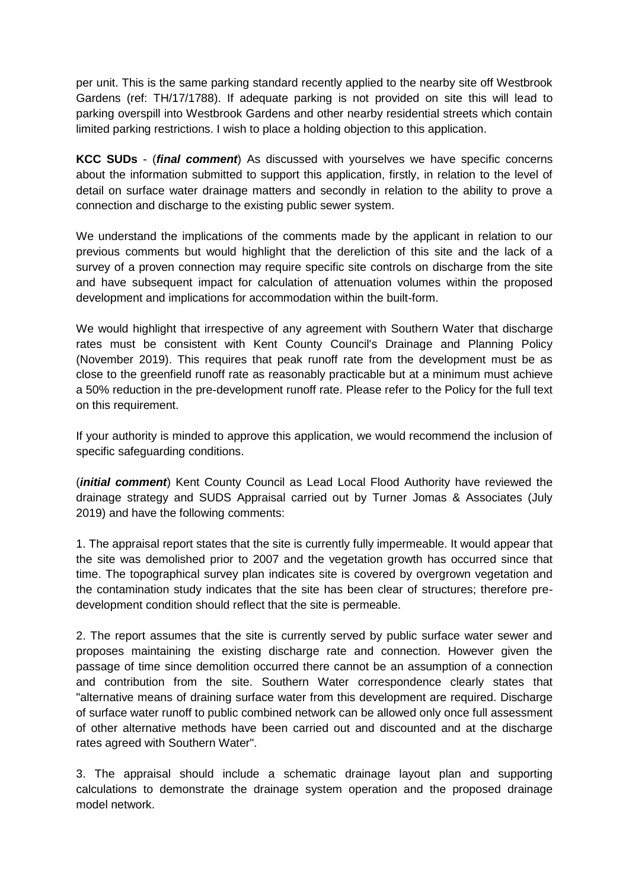per unit. This is the same parking standard recently applied to the nearby site off Westbrook Gardens (ref: TH/17/1788). If adequate parking is not provided on site this will lead to parking overspill into Westbrook Gardens and other nearby residential streets which contain limited parking restrictions. I wish to place a holding objection to this application.

**KCC SUDs** - (*final comment*) As discussed with yourselves we have specific concerns about the information submitted to support this application, firstly, in relation to the level of detail on surface water drainage matters and secondly in relation to the ability to prove a connection and discharge to the existing public sewer system.

We understand the implications of the comments made by the applicant in relation to our previous comments but would highlight that the dereliction of this site and the lack of a survey of a proven connection may require specific site controls on discharge from the site and have subsequent impact for calculation of attenuation volumes within the proposed development and implications for accommodation within the built-form.

We would highlight that irrespective of any agreement with Southern Water that discharge rates must be consistent with Kent County Council's Drainage and Planning Policy (November 2019). This requires that peak runoff rate from the development must be as close to the greenfield runoff rate as reasonably practicable but at a minimum must achieve a 50% reduction in the pre-development runoff rate. Please refer to the Policy for the full text on this requirement.

If your authority is minded to approve this application, we would recommend the inclusion of specific safeguarding conditions.

(*initial comment*) Kent County Council as Lead Local Flood Authority have reviewed the drainage strategy and SUDS Appraisal carried out by Turner Jomas & Associates (July 2019) and have the following comments:

1. The appraisal report states that the site is currently fully impermeable. It would appear that the site was demolished prior to 2007 and the vegetation growth has occurred since that time. The topographical survey plan indicates site is covered by overgrown vegetation and the contamination study indicates that the site has been clear of structures; therefore predevelopment condition should reflect that the site is permeable.

2. The report assumes that the site is currently served by public surface water sewer and proposes maintaining the existing discharge rate and connection. However given the passage of time since demolition occurred there cannot be an assumption of a connection and contribution from the site. Southern Water correspondence clearly states that "alternative means of draining surface water from this development are required. Discharge of surface water runoff to public combined network can be allowed only once full assessment of other alternative methods have been carried out and discounted and at the discharge rates agreed with Southern Water".

3. The appraisal should include a schematic drainage layout plan and supporting calculations to demonstrate the drainage system operation and the proposed drainage model network.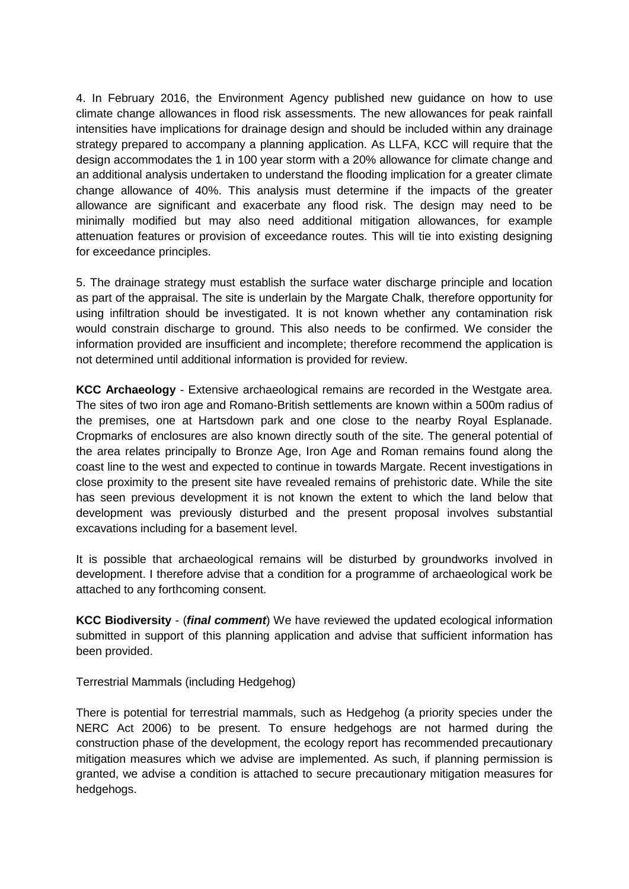4. In February 2016, the Environment Agency published new guidance on how to use climate change allowances in flood risk assessments. The new allowances for peak rainfall intensities have implications for drainage design and should be included within any drainage strategy prepared to accompany a planning application. As LLFA, KCC will require that the design accommodates the 1 in 100 year storm with a 20% allowance for climate change and an additional analysis undertaken to understand the flooding implication for a greater climate change allowance of 40%. This analysis must determine if the impacts of the greater allowance are significant and exacerbate any flood risk. The design may need to be minimally modified but may also need additional mitigation allowances, for example attenuation features or provision of exceedance routes. This will tie into existing designing for exceedance principles.

5. The drainage strategy must establish the surface water discharge principle and location as part of the appraisal. The site is underlain by the Margate Chalk, therefore opportunity for using infiltration should be investigated. It is not known whether any contamination risk would constrain discharge to ground. This also needs to be confirmed. We consider the information provided are insufficient and incomplete; therefore recommend the application is not determined until additional information is provided for review.

**KCC Archaeology** - Extensive archaeological remains are recorded in the Westgate area. The sites of two iron age and Romano-British settlements are known within a 500m radius of the premises, one at Hartsdown park and one close to the nearby Royal Esplanade. Cropmarks of enclosures are also known directly south of the site. The general potential of the area relates principally to Bronze Age, Iron Age and Roman remains found along the coast line to the west and expected to continue in towards Margate. Recent investigations in close proximity to the present site have revealed remains of prehistoric date. While the site has seen previous development it is not known the extent to which the land below that development was previously disturbed and the present proposal involves substantial excavations including for a basement level.

It is possible that archaeological remains will be disturbed by groundworks involved in development. I therefore advise that a condition for a programme of archaeological work be attached to any forthcoming consent.

**KCC Biodiversity** - (*final comment*) We have reviewed the updated ecological information submitted in support of this planning application and advise that sufficient information has been provided.

Terrestrial Mammals (including Hedgehog)

There is potential for terrestrial mammals, such as Hedgehog (a priority species under the NERC Act 2006) to be present. To ensure hedgehogs are not harmed during the construction phase of the development, the ecology report has recommended precautionary mitigation measures which we advise are implemented. As such, if planning permission is granted, we advise a condition is attached to secure precautionary mitigation measures for hedgehogs.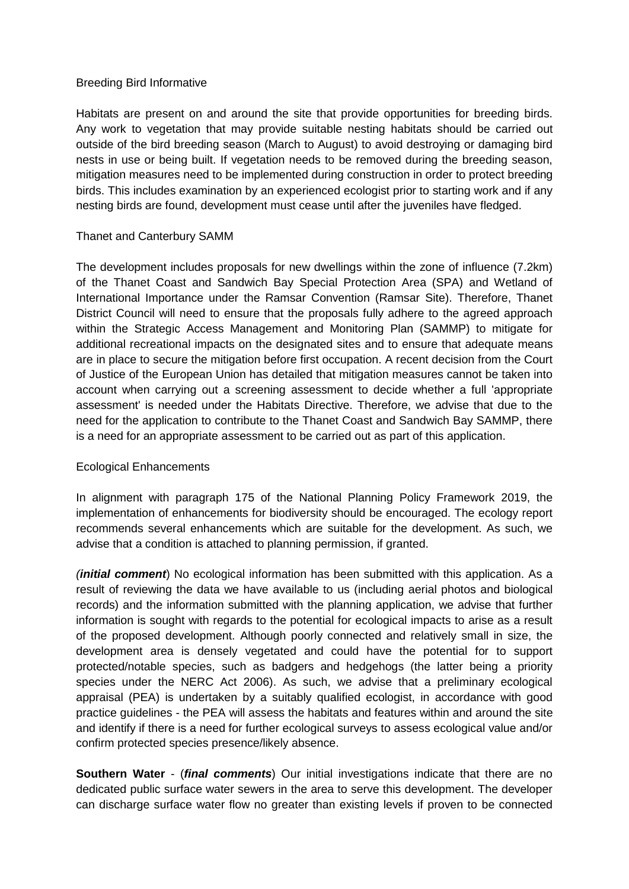### Breeding Bird Informative

Habitats are present on and around the site that provide opportunities for breeding birds. Any work to vegetation that may provide suitable nesting habitats should be carried out outside of the bird breeding season (March to August) to avoid destroying or damaging bird nests in use or being built. If vegetation needs to be removed during the breeding season, mitigation measures need to be implemented during construction in order to protect breeding birds. This includes examination by an experienced ecologist prior to starting work and if any nesting birds are found, development must cease until after the juveniles have fledged.

# Thanet and Canterbury SAMM

The development includes proposals for new dwellings within the zone of influence (7.2km) of the Thanet Coast and Sandwich Bay Special Protection Area (SPA) and Wetland of International Importance under the Ramsar Convention (Ramsar Site). Therefore, Thanet District Council will need to ensure that the proposals fully adhere to the agreed approach within the Strategic Access Management and Monitoring Plan (SAMMP) to mitigate for additional recreational impacts on the designated sites and to ensure that adequate means are in place to secure the mitigation before first occupation. A recent decision from the Court of Justice of the European Union has detailed that mitigation measures cannot be taken into account when carrying out a screening assessment to decide whether a full 'appropriate assessment' is needed under the Habitats Directive. Therefore, we advise that due to the need for the application to contribute to the Thanet Coast and Sandwich Bay SAMMP, there is a need for an appropriate assessment to be carried out as part of this application.

# Ecological Enhancements

In alignment with paragraph 175 of the National Planning Policy Framework 2019, the implementation of enhancements for biodiversity should be encouraged. The ecology report recommends several enhancements which are suitable for the development. As such, we advise that a condition is attached to planning permission, if granted.

*(initial comment*) No ecological information has been submitted with this application. As a result of reviewing the data we have available to us (including aerial photos and biological records) and the information submitted with the planning application, we advise that further information is sought with regards to the potential for ecological impacts to arise as a result of the proposed development. Although poorly connected and relatively small in size, the development area is densely vegetated and could have the potential for to support protected/notable species, such as badgers and hedgehogs (the latter being a priority species under the NERC Act 2006). As such, we advise that a preliminary ecological appraisal (PEA) is undertaken by a suitably qualified ecologist, in accordance with good practice guidelines - the PEA will assess the habitats and features within and around the site and identify if there is a need for further ecological surveys to assess ecological value and/or confirm protected species presence/likely absence.

**Southern Water** - (*final comments*) Our initial investigations indicate that there are no dedicated public surface water sewers in the area to serve this development. The developer can discharge surface water flow no greater than existing levels if proven to be connected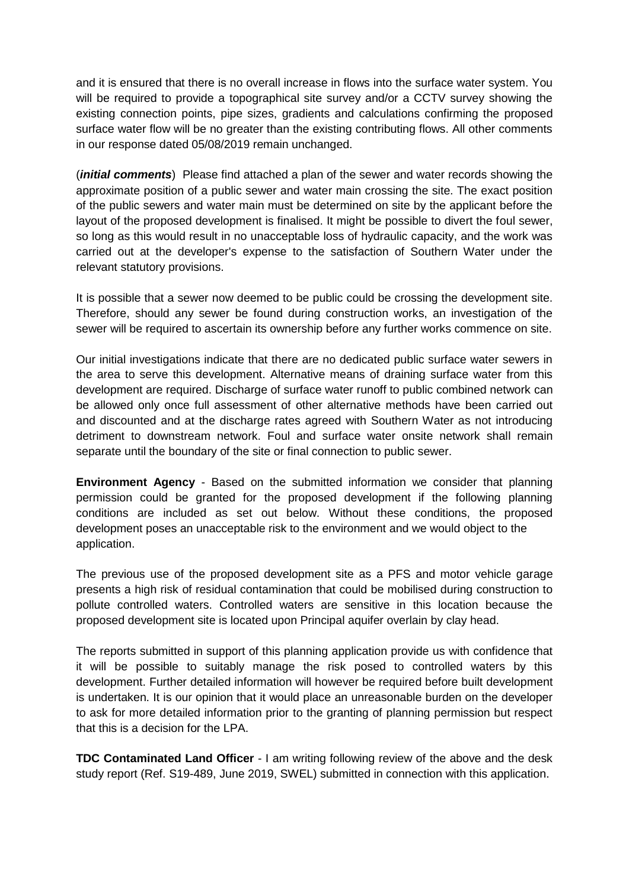and it is ensured that there is no overall increase in flows into the surface water system. You will be required to provide a topographical site survey and/or a CCTV survey showing the existing connection points, pipe sizes, gradients and calculations confirming the proposed surface water flow will be no greater than the existing contributing flows. All other comments in our response dated 05/08/2019 remain unchanged.

(*initial comments*) Please find attached a plan of the sewer and water records showing the approximate position of a public sewer and water main crossing the site. The exact position of the public sewers and water main must be determined on site by the applicant before the layout of the proposed development is finalised. It might be possible to divert the foul sewer, so long as this would result in no unacceptable loss of hydraulic capacity, and the work was carried out at the developer's expense to the satisfaction of Southern Water under the relevant statutory provisions.

It is possible that a sewer now deemed to be public could be crossing the development site. Therefore, should any sewer be found during construction works, an investigation of the sewer will be required to ascertain its ownership before any further works commence on site.

Our initial investigations indicate that there are no dedicated public surface water sewers in the area to serve this development. Alternative means of draining surface water from this development are required. Discharge of surface water runoff to public combined network can be allowed only once full assessment of other alternative methods have been carried out and discounted and at the discharge rates agreed with Southern Water as not introducing detriment to downstream network. Foul and surface water onsite network shall remain separate until the boundary of the site or final connection to public sewer.

**Environment Agency** - Based on the submitted information we consider that planning permission could be granted for the proposed development if the following planning conditions are included as set out below. Without these conditions, the proposed development poses an unacceptable risk to the environment and we would object to the application.

The previous use of the proposed development site as a PFS and motor vehicle garage presents a high risk of residual contamination that could be mobilised during construction to pollute controlled waters. Controlled waters are sensitive in this location because the proposed development site is located upon Principal aquifer overlain by clay head.

The reports submitted in support of this planning application provide us with confidence that it will be possible to suitably manage the risk posed to controlled waters by this development. Further detailed information will however be required before built development is undertaken. It is our opinion that it would place an unreasonable burden on the developer to ask for more detailed information prior to the granting of planning permission but respect that this is a decision for the LPA.

**TDC Contaminated Land Officer** - I am writing following review of the above and the desk study report (Ref. S19-489, June 2019, SWEL) submitted in connection with this application.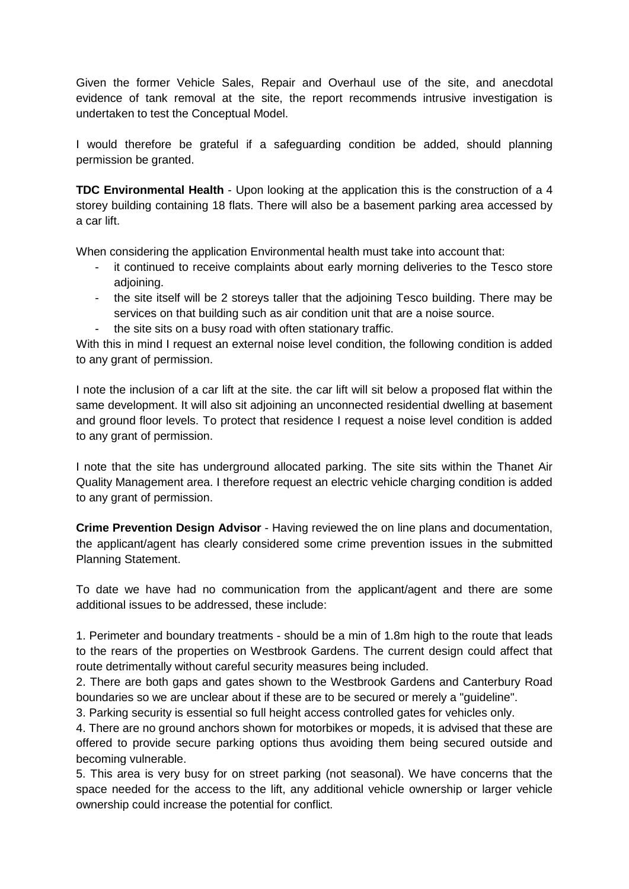Given the former Vehicle Sales, Repair and Overhaul use of the site, and anecdotal evidence of tank removal at the site, the report recommends intrusive investigation is undertaken to test the Conceptual Model.

I would therefore be grateful if a safeguarding condition be added, should planning permission be granted.

**TDC Environmental Health** - Upon looking at the application this is the construction of a 4 storey building containing 18 flats. There will also be a basement parking area accessed by a car lift.

When considering the application Environmental health must take into account that:

- it continued to receive complaints about early morning deliveries to the Tesco store adjoining.
- the site itself will be 2 storeys taller that the adjoining Tesco building. There may be services on that building such as air condition unit that are a noise source.
- the site sits on a busy road with often stationary traffic.

With this in mind I request an external noise level condition, the following condition is added to any grant of permission.

I note the inclusion of a car lift at the site. the car lift will sit below a proposed flat within the same development. It will also sit adjoining an unconnected residential dwelling at basement and ground floor levels. To protect that residence I request a noise level condition is added to any grant of permission.

I note that the site has underground allocated parking. The site sits within the Thanet Air Quality Management area. I therefore request an electric vehicle charging condition is added to any grant of permission.

**Crime Prevention Design Advisor** - Having reviewed the on line plans and documentation, the applicant/agent has clearly considered some crime prevention issues in the submitted Planning Statement.

To date we have had no communication from the applicant/agent and there are some additional issues to be addressed, these include:

1. Perimeter and boundary treatments - should be a min of 1.8m high to the route that leads to the rears of the properties on Westbrook Gardens. The current design could affect that route detrimentally without careful security measures being included.

2. There are both gaps and gates shown to the Westbrook Gardens and Canterbury Road boundaries so we are unclear about if these are to be secured or merely a "guideline".

3. Parking security is essential so full height access controlled gates for vehicles only.

4. There are no ground anchors shown for motorbikes or mopeds, it is advised that these are offered to provide secure parking options thus avoiding them being secured outside and becoming vulnerable.

5. This area is very busy for on street parking (not seasonal). We have concerns that the space needed for the access to the lift, any additional vehicle ownership or larger vehicle ownership could increase the potential for conflict.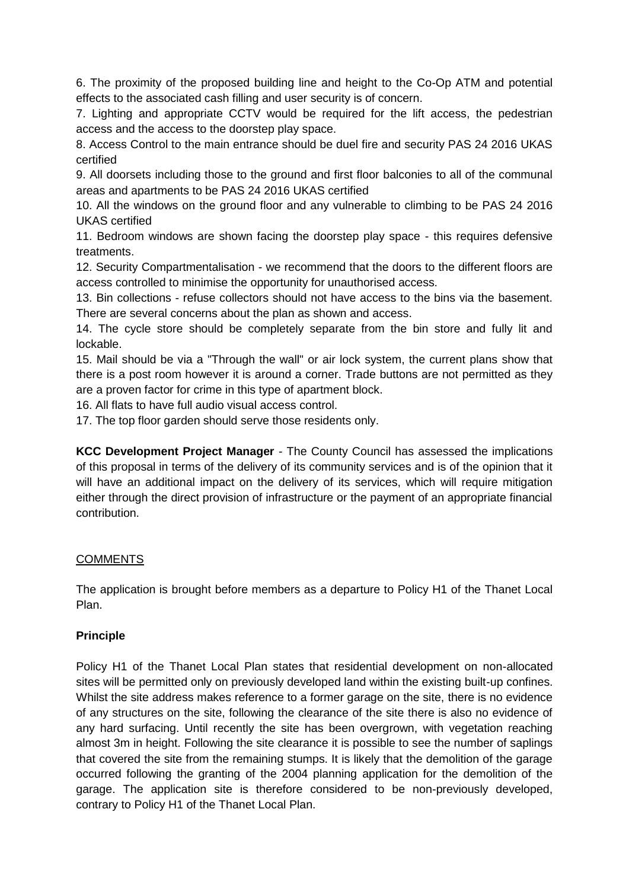6. The proximity of the proposed building line and height to the Co-Op ATM and potential effects to the associated cash filling and user security is of concern.

7. Lighting and appropriate CCTV would be required for the lift access, the pedestrian access and the access to the doorstep play space.

8. Access Control to the main entrance should be duel fire and security PAS 24 2016 UKAS certified

9. All doorsets including those to the ground and first floor balconies to all of the communal areas and apartments to be PAS 24 2016 UKAS certified

10. All the windows on the ground floor and any vulnerable to climbing to be PAS 24 2016 UKAS certified

11. Bedroom windows are shown facing the doorstep play space - this requires defensive treatments.

12. Security Compartmentalisation - we recommend that the doors to the different floors are access controlled to minimise the opportunity for unauthorised access.

13. Bin collections - refuse collectors should not have access to the bins via the basement. There are several concerns about the plan as shown and access.

14. The cycle store should be completely separate from the bin store and fully lit and lockable.

15. Mail should be via a "Through the wall" or air lock system, the current plans show that there is a post room however it is around a corner. Trade buttons are not permitted as they are a proven factor for crime in this type of apartment block.

16. All flats to have full audio visual access control.

17. The top floor garden should serve those residents only.

**KCC Development Project Manager** - The County Council has assessed the implications of this proposal in terms of the delivery of its community services and is of the opinion that it will have an additional impact on the delivery of its services, which will require mitigation either through the direct provision of infrastructure or the payment of an appropriate financial contribution.

# **COMMENTS**

The application is brought before members as a departure to Policy H1 of the Thanet Local Plan.

# **Principle**

Policy H1 of the Thanet Local Plan states that residential development on non-allocated sites will be permitted only on previously developed land within the existing built-up confines. Whilst the site address makes reference to a former garage on the site, there is no evidence of any structures on the site, following the clearance of the site there is also no evidence of any hard surfacing. Until recently the site has been overgrown, with vegetation reaching almost 3m in height. Following the site clearance it is possible to see the number of saplings that covered the site from the remaining stumps. It is likely that the demolition of the garage occurred following the granting of the 2004 planning application for the demolition of the garage. The application site is therefore considered to be non-previously developed, contrary to Policy H1 of the Thanet Local Plan.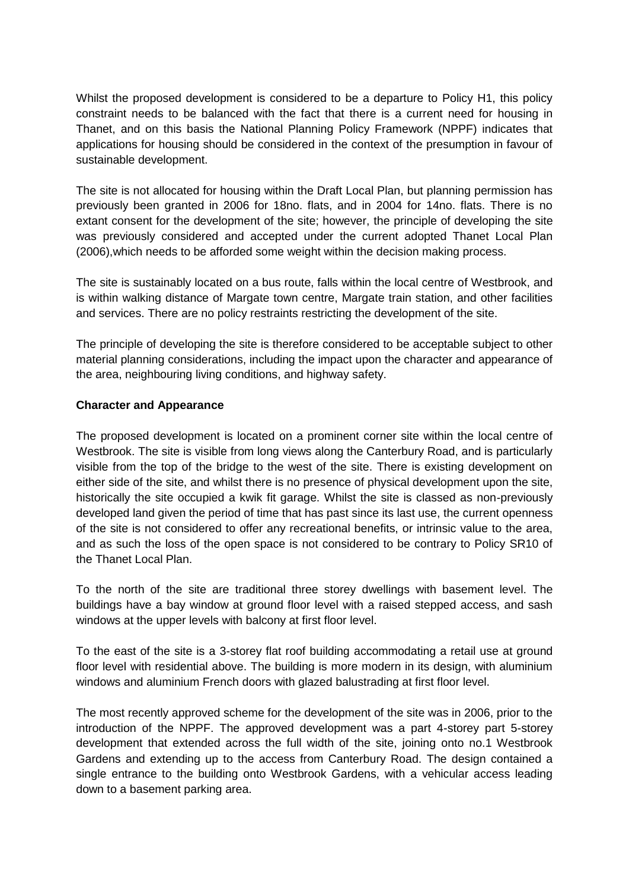Whilst the proposed development is considered to be a departure to Policy H1, this policy constraint needs to be balanced with the fact that there is a current need for housing in Thanet, and on this basis the National Planning Policy Framework (NPPF) indicates that applications for housing should be considered in the context of the presumption in favour of sustainable development.

The site is not allocated for housing within the Draft Local Plan, but planning permission has previously been granted in 2006 for 18no. flats, and in 2004 for 14no. flats. There is no extant consent for the development of the site; however, the principle of developing the site was previously considered and accepted under the current adopted Thanet Local Plan (2006),which needs to be afforded some weight within the decision making process.

The site is sustainably located on a bus route, falls within the local centre of Westbrook, and is within walking distance of Margate town centre, Margate train station, and other facilities and services. There are no policy restraints restricting the development of the site.

The principle of developing the site is therefore considered to be acceptable subject to other material planning considerations, including the impact upon the character and appearance of the area, neighbouring living conditions, and highway safety.

# **Character and Appearance**

The proposed development is located on a prominent corner site within the local centre of Westbrook. The site is visible from long views along the Canterbury Road, and is particularly visible from the top of the bridge to the west of the site. There is existing development on either side of the site, and whilst there is no presence of physical development upon the site, historically the site occupied a kwik fit garage. Whilst the site is classed as non-previously developed land given the period of time that has past since its last use, the current openness of the site is not considered to offer any recreational benefits, or intrinsic value to the area, and as such the loss of the open space is not considered to be contrary to Policy SR10 of the Thanet Local Plan.

To the north of the site are traditional three storey dwellings with basement level. The buildings have a bay window at ground floor level with a raised stepped access, and sash windows at the upper levels with balcony at first floor level.

To the east of the site is a 3-storey flat roof building accommodating a retail use at ground floor level with residential above. The building is more modern in its design, with aluminium windows and aluminium French doors with glazed balustrading at first floor level.

The most recently approved scheme for the development of the site was in 2006, prior to the introduction of the NPPF. The approved development was a part 4-storey part 5-storey development that extended across the full width of the site, joining onto no.1 Westbrook Gardens and extending up to the access from Canterbury Road. The design contained a single entrance to the building onto Westbrook Gardens, with a vehicular access leading down to a basement parking area.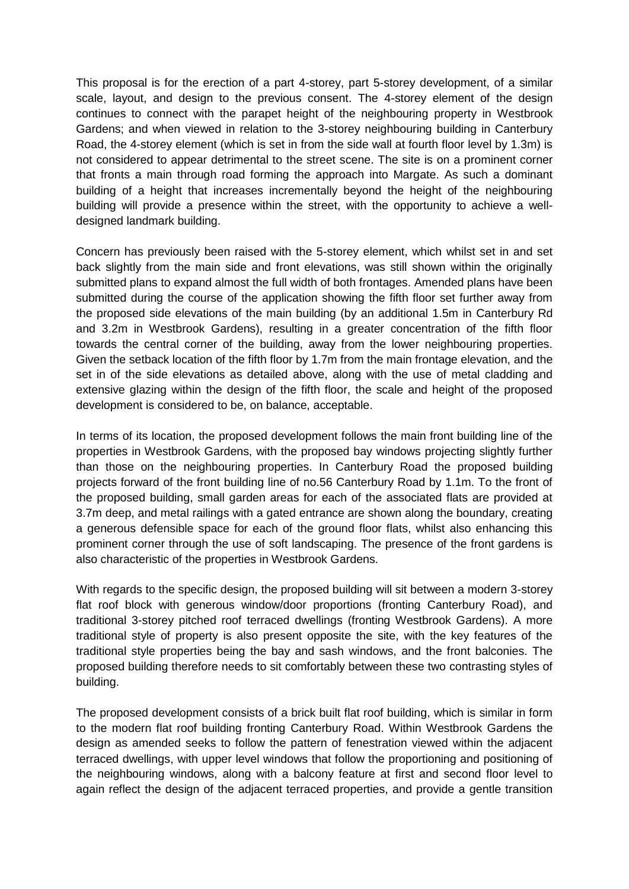This proposal is for the erection of a part 4-storey, part 5-storey development, of a similar scale, layout, and design to the previous consent. The 4-storey element of the design continues to connect with the parapet height of the neighbouring property in Westbrook Gardens; and when viewed in relation to the 3-storey neighbouring building in Canterbury Road, the 4-storey element (which is set in from the side wall at fourth floor level by 1.3m) is not considered to appear detrimental to the street scene. The site is on a prominent corner that fronts a main through road forming the approach into Margate. As such a dominant building of a height that increases incrementally beyond the height of the neighbouring building will provide a presence within the street, with the opportunity to achieve a welldesigned landmark building.

Concern has previously been raised with the 5-storey element, which whilst set in and set back slightly from the main side and front elevations, was still shown within the originally submitted plans to expand almost the full width of both frontages. Amended plans have been submitted during the course of the application showing the fifth floor set further away from the proposed side elevations of the main building (by an additional 1.5m in Canterbury Rd and 3.2m in Westbrook Gardens), resulting in a greater concentration of the fifth floor towards the central corner of the building, away from the lower neighbouring properties. Given the setback location of the fifth floor by 1.7m from the main frontage elevation, and the set in of the side elevations as detailed above, along with the use of metal cladding and extensive glazing within the design of the fifth floor, the scale and height of the proposed development is considered to be, on balance, acceptable.

In terms of its location, the proposed development follows the main front building line of the properties in Westbrook Gardens, with the proposed bay windows projecting slightly further than those on the neighbouring properties. In Canterbury Road the proposed building projects forward of the front building line of no.56 Canterbury Road by 1.1m. To the front of the proposed building, small garden areas for each of the associated flats are provided at 3.7m deep, and metal railings with a gated entrance are shown along the boundary, creating a generous defensible space for each of the ground floor flats, whilst also enhancing this prominent corner through the use of soft landscaping. The presence of the front gardens is also characteristic of the properties in Westbrook Gardens.

With regards to the specific design, the proposed building will sit between a modern 3-storey flat roof block with generous window/door proportions (fronting Canterbury Road), and traditional 3-storey pitched roof terraced dwellings (fronting Westbrook Gardens). A more traditional style of property is also present opposite the site, with the key features of the traditional style properties being the bay and sash windows, and the front balconies. The proposed building therefore needs to sit comfortably between these two contrasting styles of building.

The proposed development consists of a brick built flat roof building, which is similar in form to the modern flat roof building fronting Canterbury Road. Within Westbrook Gardens the design as amended seeks to follow the pattern of fenestration viewed within the adjacent terraced dwellings, with upper level windows that follow the proportioning and positioning of the neighbouring windows, along with a balcony feature at first and second floor level to again reflect the design of the adjacent terraced properties, and provide a gentle transition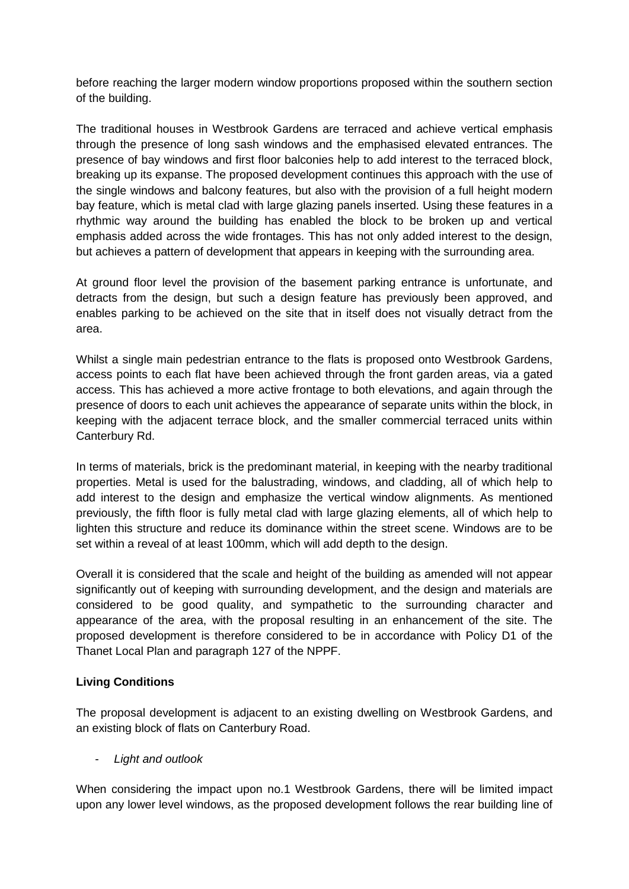before reaching the larger modern window proportions proposed within the southern section of the building.

The traditional houses in Westbrook Gardens are terraced and achieve vertical emphasis through the presence of long sash windows and the emphasised elevated entrances. The presence of bay windows and first floor balconies help to add interest to the terraced block, breaking up its expanse. The proposed development continues this approach with the use of the single windows and balcony features, but also with the provision of a full height modern bay feature, which is metal clad with large glazing panels inserted. Using these features in a rhythmic way around the building has enabled the block to be broken up and vertical emphasis added across the wide frontages. This has not only added interest to the design, but achieves a pattern of development that appears in keeping with the surrounding area.

At ground floor level the provision of the basement parking entrance is unfortunate, and detracts from the design, but such a design feature has previously been approved, and enables parking to be achieved on the site that in itself does not visually detract from the area.

Whilst a single main pedestrian entrance to the flats is proposed onto Westbrook Gardens, access points to each flat have been achieved through the front garden areas, via a gated access. This has achieved a more active frontage to both elevations, and again through the presence of doors to each unit achieves the appearance of separate units within the block, in keeping with the adjacent terrace block, and the smaller commercial terraced units within Canterbury Rd.

In terms of materials, brick is the predominant material, in keeping with the nearby traditional properties. Metal is used for the balustrading, windows, and cladding, all of which help to add interest to the design and emphasize the vertical window alignments. As mentioned previously, the fifth floor is fully metal clad with large glazing elements, all of which help to lighten this structure and reduce its dominance within the street scene. Windows are to be set within a reveal of at least 100mm, which will add depth to the design.

Overall it is considered that the scale and height of the building as amended will not appear significantly out of keeping with surrounding development, and the design and materials are considered to be good quality, and sympathetic to the surrounding character and appearance of the area, with the proposal resulting in an enhancement of the site. The proposed development is therefore considered to be in accordance with Policy D1 of the Thanet Local Plan and paragraph 127 of the NPPF.

# **Living Conditions**

The proposal development is adjacent to an existing dwelling on Westbrook Gardens, and an existing block of flats on Canterbury Road.

- *Light and outlook*

When considering the impact upon no.1 Westbrook Gardens, there will be limited impact upon any lower level windows, as the proposed development follows the rear building line of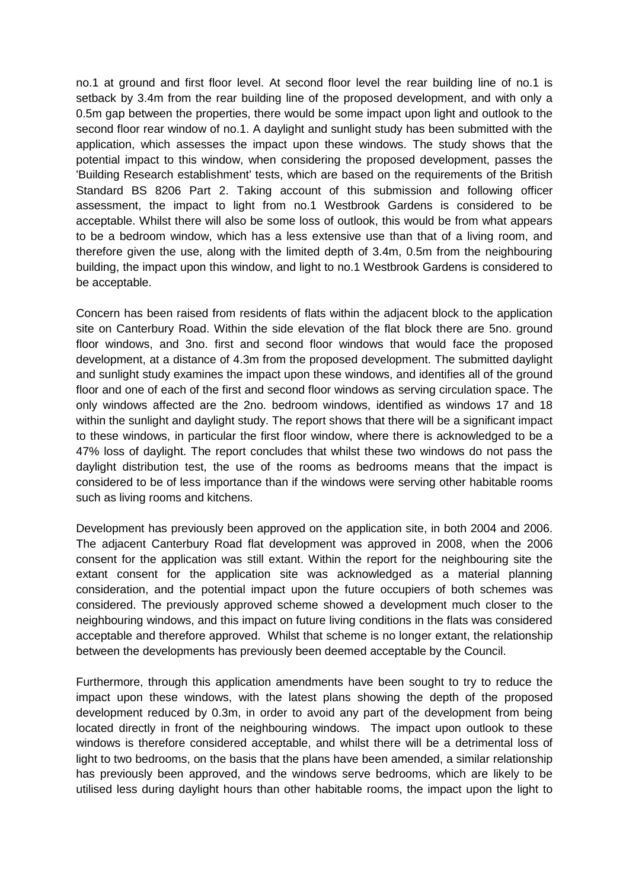no.1 at ground and first floor level. At second floor level the rear building line of no.1 is setback by 3.4m from the rear building line of the proposed development, and with only a 0.5m gap between the properties, there would be some impact upon light and outlook to the second floor rear window of no.1. A daylight and sunlight study has been submitted with the application, which assesses the impact upon these windows. The study shows that the potential impact to this window, when considering the proposed development, passes the 'Building Research establishment' tests, which are based on the requirements of the British Standard BS 8206 Part 2. Taking account of this submission and following officer assessment, the impact to light from no.1 Westbrook Gardens is considered to be acceptable. Whilst there will also be some loss of outlook, this would be from what appears to be a bedroom window, which has a less extensive use than that of a living room, and therefore given the use, along with the limited depth of 3.4m, 0.5m from the neighbouring building, the impact upon this window, and light to no.1 Westbrook Gardens is considered to be acceptable.

Concern has been raised from residents of flats within the adjacent block to the application site on Canterbury Road. Within the side elevation of the flat block there are 5no. ground floor windows, and 3no. first and second floor windows that would face the proposed development, at a distance of 4.3m from the proposed development. The submitted daylight and sunlight study examines the impact upon these windows, and identifies all of the ground floor and one of each of the first and second floor windows as serving circulation space. The only windows affected are the 2no. bedroom windows, identified as windows 17 and 18 within the sunlight and daylight study. The report shows that there will be a significant impact to these windows, in particular the first floor window, where there is acknowledged to be a 47% loss of daylight. The report concludes that whilst these two windows do not pass the daylight distribution test, the use of the rooms as bedrooms means that the impact is considered to be of less importance than if the windows were serving other habitable rooms such as living rooms and kitchens.

Development has previously been approved on the application site, in both 2004 and 2006. The adjacent Canterbury Road flat development was approved in 2008, when the 2006 consent for the application was still extant. Within the report for the neighbouring site the extant consent for the application site was acknowledged as a material planning consideration, and the potential impact upon the future occupiers of both schemes was considered. The previously approved scheme showed a development much closer to the neighbouring windows, and this impact on future living conditions in the flats was considered acceptable and therefore approved. Whilst that scheme is no longer extant, the relationship between the developments has previously been deemed acceptable by the Council.

Furthermore, through this application amendments have been sought to try to reduce the impact upon these windows, with the latest plans showing the depth of the proposed development reduced by 0.3m, in order to avoid any part of the development from being located directly in front of the neighbouring windows. The impact upon outlook to these windows is therefore considered acceptable, and whilst there will be a detrimental loss of light to two bedrooms, on the basis that the plans have been amended, a similar relationship has previously been approved, and the windows serve bedrooms, which are likely to be utilised less during daylight hours than other habitable rooms, the impact upon the light to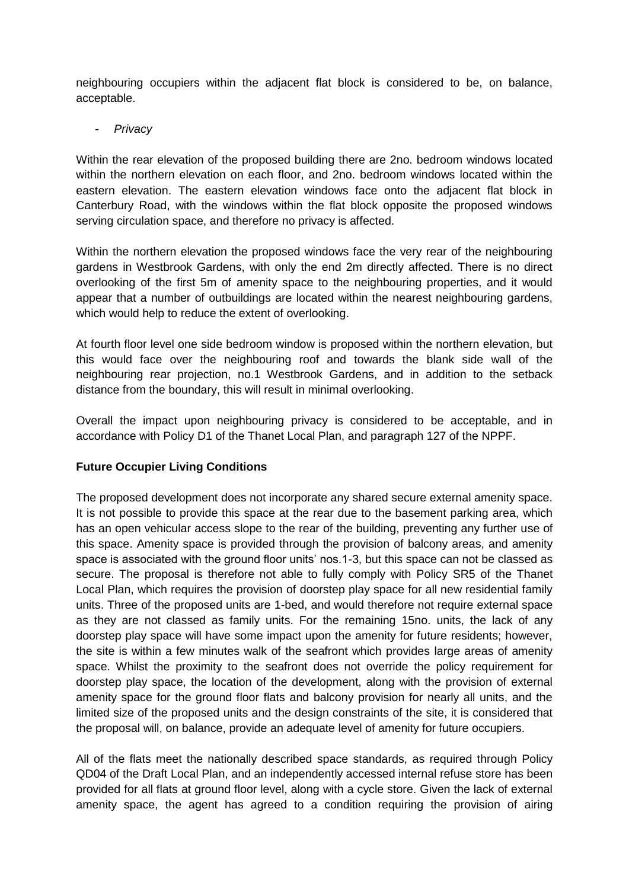neighbouring occupiers within the adjacent flat block is considered to be, on balance, acceptable.

- *Privacy*

Within the rear elevation of the proposed building there are 2no. bedroom windows located within the northern elevation on each floor, and 2no. bedroom windows located within the eastern elevation. The eastern elevation windows face onto the adjacent flat block in Canterbury Road, with the windows within the flat block opposite the proposed windows serving circulation space, and therefore no privacy is affected.

Within the northern elevation the proposed windows face the very rear of the neighbouring gardens in Westbrook Gardens, with only the end 2m directly affected. There is no direct overlooking of the first 5m of amenity space to the neighbouring properties, and it would appear that a number of outbuildings are located within the nearest neighbouring gardens, which would help to reduce the extent of overlooking.

At fourth floor level one side bedroom window is proposed within the northern elevation, but this would face over the neighbouring roof and towards the blank side wall of the neighbouring rear projection, no.1 Westbrook Gardens, and in addition to the setback distance from the boundary, this will result in minimal overlooking.

Overall the impact upon neighbouring privacy is considered to be acceptable, and in accordance with Policy D1 of the Thanet Local Plan, and paragraph 127 of the NPPF.

# **Future Occupier Living Conditions**

The proposed development does not incorporate any shared secure external amenity space. It is not possible to provide this space at the rear due to the basement parking area, which has an open vehicular access slope to the rear of the building, preventing any further use of this space. Amenity space is provided through the provision of balcony areas, and amenity space is associated with the ground floor units' nos.1-3, but this space can not be classed as secure. The proposal is therefore not able to fully comply with Policy SR5 of the Thanet Local Plan, which requires the provision of doorstep play space for all new residential family units. Three of the proposed units are 1-bed, and would therefore not require external space as they are not classed as family units. For the remaining 15no. units, the lack of any doorstep play space will have some impact upon the amenity for future residents; however, the site is within a few minutes walk of the seafront which provides large areas of amenity space. Whilst the proximity to the seafront does not override the policy requirement for doorstep play space, the location of the development, along with the provision of external amenity space for the ground floor flats and balcony provision for nearly all units, and the limited size of the proposed units and the design constraints of the site, it is considered that the proposal will, on balance, provide an adequate level of amenity for future occupiers.

All of the flats meet the nationally described space standards, as required through Policy QD04 of the Draft Local Plan, and an independently accessed internal refuse store has been provided for all flats at ground floor level, along with a cycle store. Given the lack of external amenity space, the agent has agreed to a condition requiring the provision of airing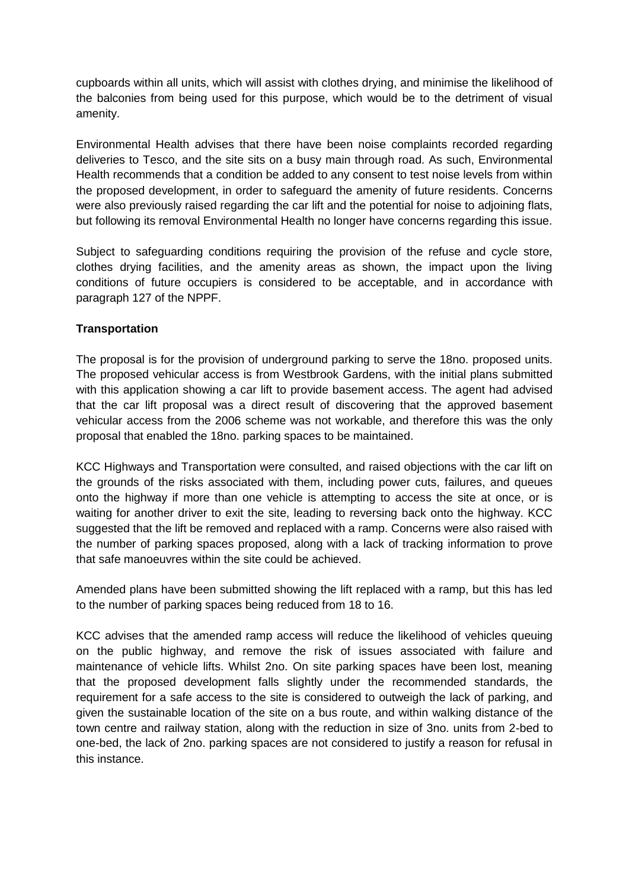cupboards within all units, which will assist with clothes drying, and minimise the likelihood of the balconies from being used for this purpose, which would be to the detriment of visual amenity.

Environmental Health advises that there have been noise complaints recorded regarding deliveries to Tesco, and the site sits on a busy main through road. As such, Environmental Health recommends that a condition be added to any consent to test noise levels from within the proposed development, in order to safeguard the amenity of future residents. Concerns were also previously raised regarding the car lift and the potential for noise to adjoining flats, but following its removal Environmental Health no longer have concerns regarding this issue.

Subject to safeguarding conditions requiring the provision of the refuse and cycle store, clothes drying facilities, and the amenity areas as shown, the impact upon the living conditions of future occupiers is considered to be acceptable, and in accordance with paragraph 127 of the NPPF.

# **Transportation**

The proposal is for the provision of underground parking to serve the 18no. proposed units. The proposed vehicular access is from Westbrook Gardens, with the initial plans submitted with this application showing a car lift to provide basement access. The agent had advised that the car lift proposal was a direct result of discovering that the approved basement vehicular access from the 2006 scheme was not workable, and therefore this was the only proposal that enabled the 18no. parking spaces to be maintained.

KCC Highways and Transportation were consulted, and raised objections with the car lift on the grounds of the risks associated with them, including power cuts, failures, and queues onto the highway if more than one vehicle is attempting to access the site at once, or is waiting for another driver to exit the site, leading to reversing back onto the highway. KCC suggested that the lift be removed and replaced with a ramp. Concerns were also raised with the number of parking spaces proposed, along with a lack of tracking information to prove that safe manoeuvres within the site could be achieved.

Amended plans have been submitted showing the lift replaced with a ramp, but this has led to the number of parking spaces being reduced from 18 to 16.

KCC advises that the amended ramp access will reduce the likelihood of vehicles queuing on the public highway, and remove the risk of issues associated with failure and maintenance of vehicle lifts. Whilst 2no. On site parking spaces have been lost, meaning that the proposed development falls slightly under the recommended standards, the requirement for a safe access to the site is considered to outweigh the lack of parking, and given the sustainable location of the site on a bus route, and within walking distance of the town centre and railway station, along with the reduction in size of 3no. units from 2-bed to one-bed, the lack of 2no. parking spaces are not considered to justify a reason for refusal in this instance.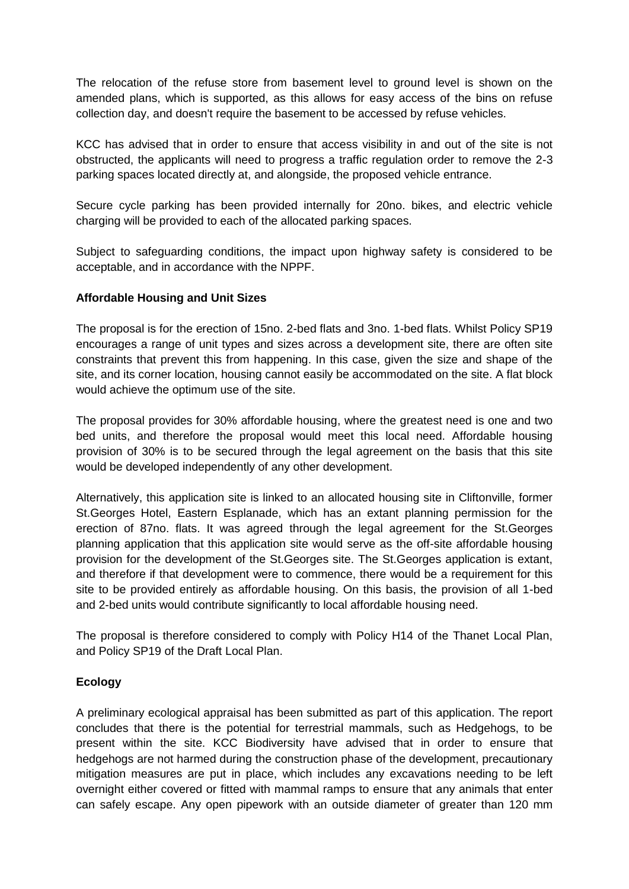The relocation of the refuse store from basement level to ground level is shown on the amended plans, which is supported, as this allows for easy access of the bins on refuse collection day, and doesn't require the basement to be accessed by refuse vehicles.

KCC has advised that in order to ensure that access visibility in and out of the site is not obstructed, the applicants will need to progress a traffic regulation order to remove the 2-3 parking spaces located directly at, and alongside, the proposed vehicle entrance.

Secure cycle parking has been provided internally for 20no. bikes, and electric vehicle charging will be provided to each of the allocated parking spaces.

Subject to safeguarding conditions, the impact upon highway safety is considered to be acceptable, and in accordance with the NPPF.

# **Affordable Housing and Unit Sizes**

The proposal is for the erection of 15no. 2-bed flats and 3no. 1-bed flats. Whilst Policy SP19 encourages a range of unit types and sizes across a development site, there are often site constraints that prevent this from happening. In this case, given the size and shape of the site, and its corner location, housing cannot easily be accommodated on the site. A flat block would achieve the optimum use of the site.

The proposal provides for 30% affordable housing, where the greatest need is one and two bed units, and therefore the proposal would meet this local need. Affordable housing provision of 30% is to be secured through the legal agreement on the basis that this site would be developed independently of any other development.

Alternatively, this application site is linked to an allocated housing site in Cliftonville, former St.Georges Hotel, Eastern Esplanade, which has an extant planning permission for the erection of 87no. flats. It was agreed through the legal agreement for the St.Georges planning application that this application site would serve as the off-site affordable housing provision for the development of the St.Georges site. The St.Georges application is extant, and therefore if that development were to commence, there would be a requirement for this site to be provided entirely as affordable housing. On this basis, the provision of all 1-bed and 2-bed units would contribute significantly to local affordable housing need.

The proposal is therefore considered to comply with Policy H14 of the Thanet Local Plan, and Policy SP19 of the Draft Local Plan.

# **Ecology**

A preliminary ecological appraisal has been submitted as part of this application. The report concludes that there is the potential for terrestrial mammals, such as Hedgehogs, to be present within the site. KCC Biodiversity have advised that in order to ensure that hedgehogs are not harmed during the construction phase of the development, precautionary mitigation measures are put in place, which includes any excavations needing to be left overnight either covered or fitted with mammal ramps to ensure that any animals that enter can safely escape. Any open pipework with an outside diameter of greater than 120 mm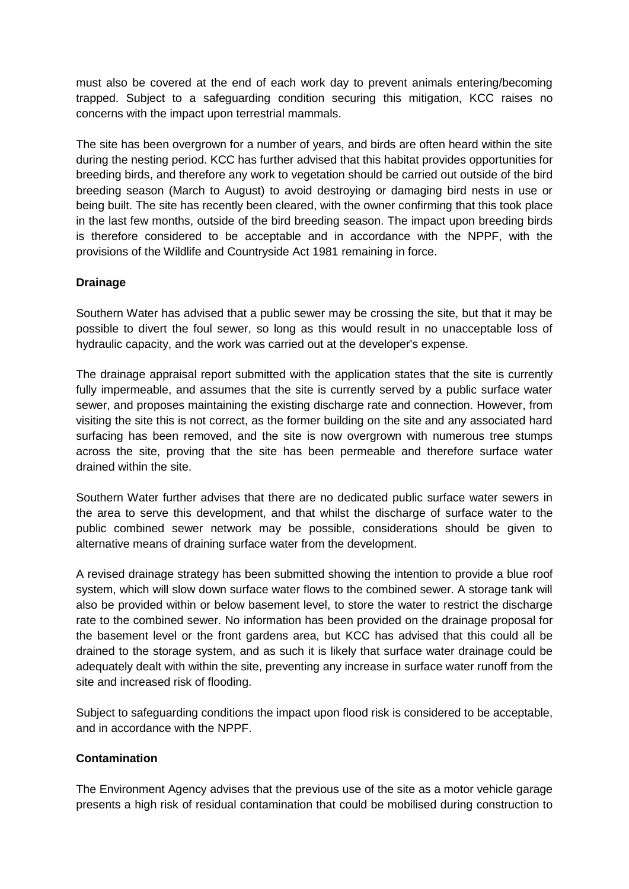must also be covered at the end of each work day to prevent animals entering/becoming trapped. Subject to a safeguarding condition securing this mitigation, KCC raises no concerns with the impact upon terrestrial mammals.

The site has been overgrown for a number of years, and birds are often heard within the site during the nesting period. KCC has further advised that this habitat provides opportunities for breeding birds, and therefore any work to vegetation should be carried out outside of the bird breeding season (March to August) to avoid destroying or damaging bird nests in use or being built. The site has recently been cleared, with the owner confirming that this took place in the last few months, outside of the bird breeding season. The impact upon breeding birds is therefore considered to be acceptable and in accordance with the NPPF, with the provisions of the Wildlife and Countryside Act 1981 remaining in force.

# **Drainage**

Southern Water has advised that a public sewer may be crossing the site, but that it may be possible to divert the foul sewer, so long as this would result in no unacceptable loss of hydraulic capacity, and the work was carried out at the developer's expense.

The drainage appraisal report submitted with the application states that the site is currently fully impermeable, and assumes that the site is currently served by a public surface water sewer, and proposes maintaining the existing discharge rate and connection. However, from visiting the site this is not correct, as the former building on the site and any associated hard surfacing has been removed, and the site is now overgrown with numerous tree stumps across the site, proving that the site has been permeable and therefore surface water drained within the site.

Southern Water further advises that there are no dedicated public surface water sewers in the area to serve this development, and that whilst the discharge of surface water to the public combined sewer network may be possible, considerations should be given to alternative means of draining surface water from the development.

A revised drainage strategy has been submitted showing the intention to provide a blue roof system, which will slow down surface water flows to the combined sewer. A storage tank will also be provided within or below basement level, to store the water to restrict the discharge rate to the combined sewer. No information has been provided on the drainage proposal for the basement level or the front gardens area, but KCC has advised that this could all be drained to the storage system, and as such it is likely that surface water drainage could be adequately dealt with within the site, preventing any increase in surface water runoff from the site and increased risk of flooding.

Subject to safeguarding conditions the impact upon flood risk is considered to be acceptable, and in accordance with the NPPF.

# **Contamination**

The Environment Agency advises that the previous use of the site as a motor vehicle garage presents a high risk of residual contamination that could be mobilised during construction to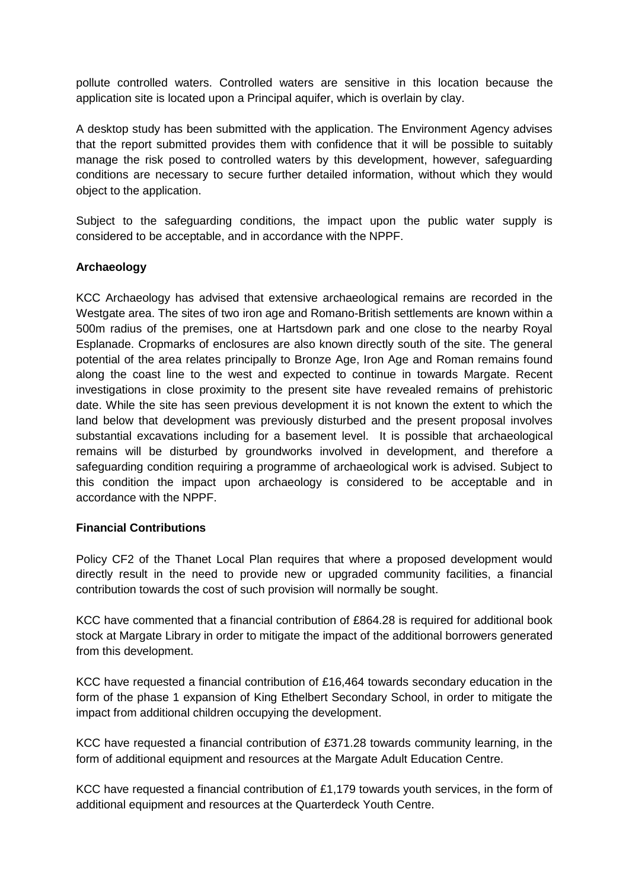pollute controlled waters. Controlled waters are sensitive in this location because the application site is located upon a Principal aquifer, which is overlain by clay.

A desktop study has been submitted with the application. The Environment Agency advises that the report submitted provides them with confidence that it will be possible to suitably manage the risk posed to controlled waters by this development, however, safeguarding conditions are necessary to secure further detailed information, without which they would object to the application.

Subject to the safeguarding conditions, the impact upon the public water supply is considered to be acceptable, and in accordance with the NPPF.

# **Archaeology**

KCC Archaeology has advised that extensive archaeological remains are recorded in the Westgate area. The sites of two iron age and Romano-British settlements are known within a 500m radius of the premises, one at Hartsdown park and one close to the nearby Royal Esplanade. Cropmarks of enclosures are also known directly south of the site. The general potential of the area relates principally to Bronze Age, Iron Age and Roman remains found along the coast line to the west and expected to continue in towards Margate. Recent investigations in close proximity to the present site have revealed remains of prehistoric date. While the site has seen previous development it is not known the extent to which the land below that development was previously disturbed and the present proposal involves substantial excavations including for a basement level. It is possible that archaeological remains will be disturbed by groundworks involved in development, and therefore a safeguarding condition requiring a programme of archaeological work is advised. Subject to this condition the impact upon archaeology is considered to be acceptable and in accordance with the NPPF.

# **Financial Contributions**

Policy CF2 of the Thanet Local Plan requires that where a proposed development would directly result in the need to provide new or upgraded community facilities, a financial contribution towards the cost of such provision will normally be sought.

KCC have commented that a financial contribution of £864.28 is required for additional book stock at Margate Library in order to mitigate the impact of the additional borrowers generated from this development.

KCC have requested a financial contribution of £16,464 towards secondary education in the form of the phase 1 expansion of King Ethelbert Secondary School, in order to mitigate the impact from additional children occupying the development.

KCC have requested a financial contribution of £371.28 towards community learning, in the form of additional equipment and resources at the Margate Adult Education Centre.

KCC have requested a financial contribution of £1,179 towards youth services, in the form of additional equipment and resources at the Quarterdeck Youth Centre.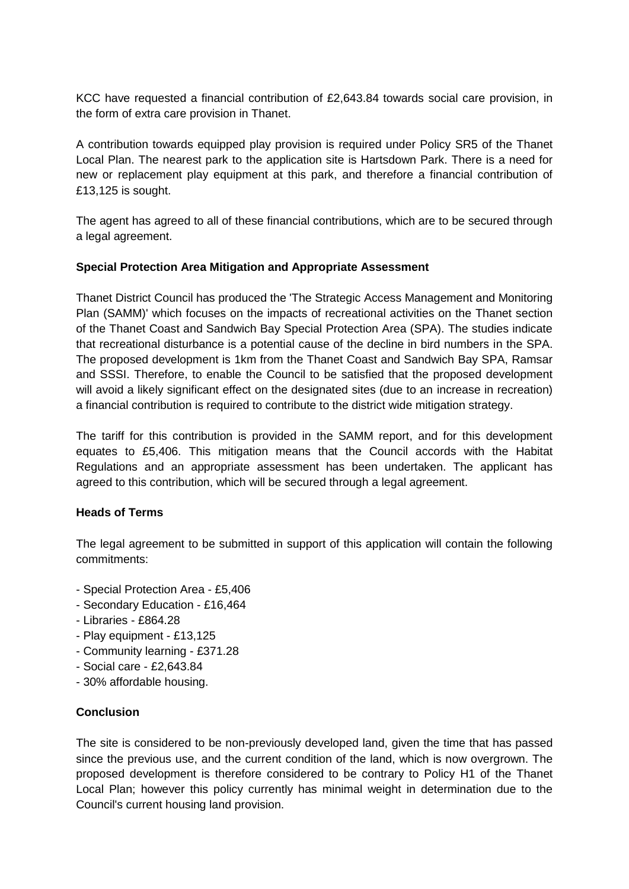KCC have requested a financial contribution of £2,643.84 towards social care provision, in the form of extra care provision in Thanet.

A contribution towards equipped play provision is required under Policy SR5 of the Thanet Local Plan. The nearest park to the application site is Hartsdown Park. There is a need for new or replacement play equipment at this park, and therefore a financial contribution of £13,125 is sought.

The agent has agreed to all of these financial contributions, which are to be secured through a legal agreement.

# **Special Protection Area Mitigation and Appropriate Assessment**

Thanet District Council has produced the 'The Strategic Access Management and Monitoring Plan (SAMM)' which focuses on the impacts of recreational activities on the Thanet section of the Thanet Coast and Sandwich Bay Special Protection Area (SPA). The studies indicate that recreational disturbance is a potential cause of the decline in bird numbers in the SPA. The proposed development is 1km from the Thanet Coast and Sandwich Bay SPA, Ramsar and SSSI. Therefore, to enable the Council to be satisfied that the proposed development will avoid a likely significant effect on the designated sites (due to an increase in recreation) a financial contribution is required to contribute to the district wide mitigation strategy.

The tariff for this contribution is provided in the SAMM report, and for this development equates to £5,406. This mitigation means that the Council accords with the Habitat Regulations and an appropriate assessment has been undertaken. The applicant has agreed to this contribution, which will be secured through a legal agreement.

# **Heads of Terms**

The legal agreement to be submitted in support of this application will contain the following commitments:

- Special Protection Area £5,406
- Secondary Education £16,464
- Libraries £864.28
- Play equipment £13,125
- Community learning £371.28
- Social care £2,643.84
- 30% affordable housing.

# **Conclusion**

The site is considered to be non-previously developed land, given the time that has passed since the previous use, and the current condition of the land, which is now overgrown. The proposed development is therefore considered to be contrary to Policy H1 of the Thanet Local Plan; however this policy currently has minimal weight in determination due to the Council's current housing land provision.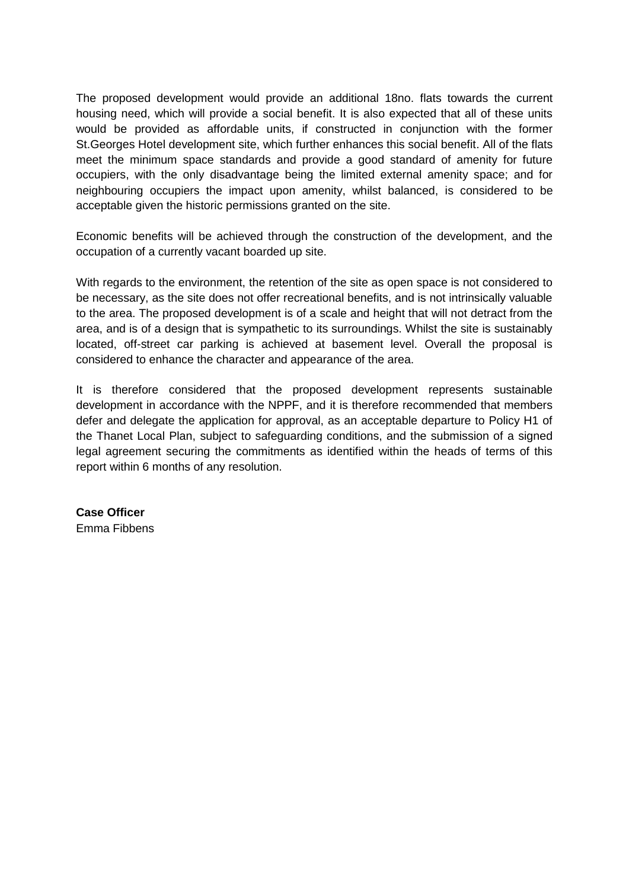The proposed development would provide an additional 18no. flats towards the current housing need, which will provide a social benefit. It is also expected that all of these units would be provided as affordable units, if constructed in conjunction with the former St.Georges Hotel development site, which further enhances this social benefit. All of the flats meet the minimum space standards and provide a good standard of amenity for future occupiers, with the only disadvantage being the limited external amenity space; and for neighbouring occupiers the impact upon amenity, whilst balanced, is considered to be acceptable given the historic permissions granted on the site.

Economic benefits will be achieved through the construction of the development, and the occupation of a currently vacant boarded up site.

With regards to the environment, the retention of the site as open space is not considered to be necessary, as the site does not offer recreational benefits, and is not intrinsically valuable to the area. The proposed development is of a scale and height that will not detract from the area, and is of a design that is sympathetic to its surroundings. Whilst the site is sustainably located, off-street car parking is achieved at basement level. Overall the proposal is considered to enhance the character and appearance of the area.

It is therefore considered that the proposed development represents sustainable development in accordance with the NPPF, and it is therefore recommended that members defer and delegate the application for approval, as an acceptable departure to Policy H1 of the Thanet Local Plan, subject to safeguarding conditions, and the submission of a signed legal agreement securing the commitments as identified within the heads of terms of this report within 6 months of any resolution.

**Case Officer** Emma Fibbens